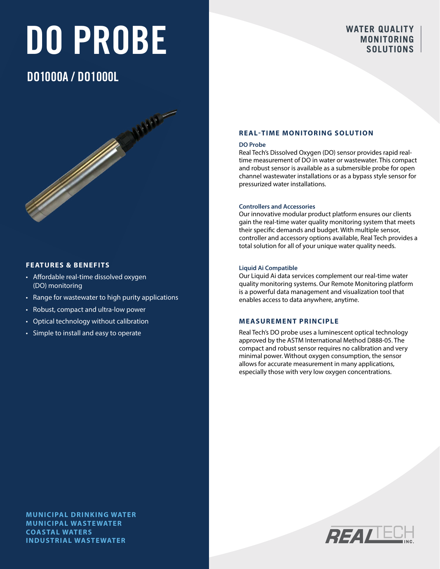# DO PROBE

#### **WATER QUALITY MONITORING SOLUTIONS**

### DO1000A / DO1000L

#### **FEATURES & BENEFITS**

- Affordable real-time dissolved oxygen (DO) monitoring
- Range for wastewater to high purity applications
- Robust, compact and ultra-low power
- Optical technology without calibration
- Simple to install and easy to operate

#### **REAL-TIME MONITORING SOLUTION**

#### **DO Probe**

Real Tech's Dissolved Oxygen (DO) sensor provides rapid realtime measurement of DO in water or wastewater. This compact and robust sensor is available as a submersible probe for open channel wastewater installations or as a bypass style sensor for pressurized water installations.

#### **Controllers and Accessories**

Our innovative modular product platform ensures our clients gain the real-time water quality monitoring system that meets their specific demands and budget. With multiple sensor, controller and accessory options available, Real Tech provides a total solution for all of your unique water quality needs.

#### **Liquid Ai Compatible**

Our Liquid Ai data services complement our real-time water quality monitoring systems. Our Remote Monitoring platform is a powerful data management and visualization tool that enables access to data anywhere, anytime.

#### **MEASUREMENT PRINCIPLE**

Real Tech's DO probe uses a luminescent optical technology approved by the ASTM International Method D888-05. The compact and robust sensor requires no calibration and very minimal power. Without oxygen consumption, the sensor allows for accurate measurement in many applications, especially those with very low oxygen concentrations.

**MUNICIPAL DRINKING WATER MUNICIPAL WASTEWATER COASTAL WATERS INDUSTRIAL WASTEWATER**

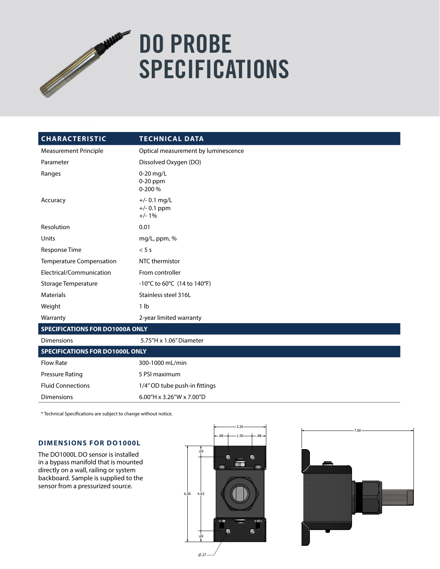## Service Contractor DO PROBE SPECIFICATIONS

| <b>CHARACTERISTIC</b>                  | <b>TECHNICAL DATA</b>                      |  |  |
|----------------------------------------|--------------------------------------------|--|--|
| <b>Measurement Principle</b>           | Optical measurement by luminescence        |  |  |
| Parameter                              | Dissolved Oxygen (DO)                      |  |  |
| Ranges                                 | $0-20$ mg/L<br>$0-20$ ppm<br>0-200 %       |  |  |
| Accuracy                               | $+/- 0.1$ mg/L<br>$+/- 0.1$ ppm<br>$+/-1%$ |  |  |
| Resolution                             | 0.01                                       |  |  |
| Units                                  | mg/L, ppm, %                               |  |  |
| Response Time                          | < 5s                                       |  |  |
| Temperature Compensation               | NTC thermistor                             |  |  |
| Electrical/Communication               | From controller                            |  |  |
| Storage Temperature                    | -10°C to 60°C (14 to 140°F)                |  |  |
| <b>Materials</b>                       | Stainless steel 316L                       |  |  |
| Weight                                 | 1 <sub>lb</sub>                            |  |  |
| Warranty                               | 2-year limited warranty                    |  |  |
| <b>SPECIFICATIONS FOR DO1000A ONLY</b> |                                            |  |  |
| <b>Dimensions</b>                      | 5.75"H x 1.06" Diameter                    |  |  |
| <b>SPECIFICATIONS FOR DO1000L ONLY</b> |                                            |  |  |
| <b>Flow Rate</b>                       | 300-1000 mL/min                            |  |  |
| <b>Pressure Rating</b>                 | 5 PSI maximum                              |  |  |
| <b>Fluid Connections</b>               | 1/4" OD tube push-in fittings              |  |  |
| <b>Dimensions</b>                      | 6.00"H x 3.26"W x 7.00"D                   |  |  |

\* Technical Specifications are subject to change without notice.

#### **DIMENSIONS FOR DO1000L**

The DO1000L DO sensor is installed in a bypass manifold that is mounted directly on a wall, railing or system backboard. Sample is supplied to the sensor from a pressurized source.